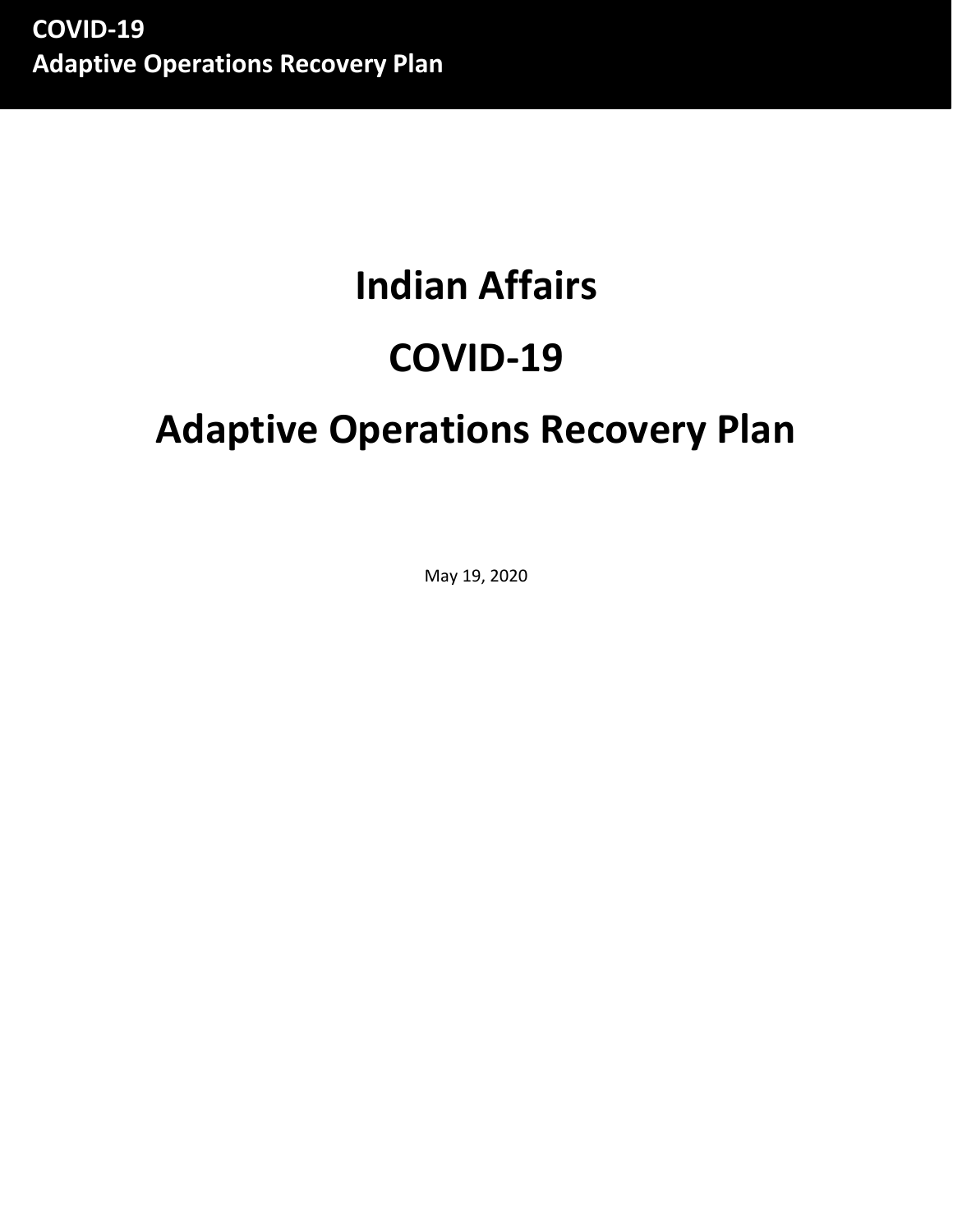# **Indian Affairs COVID-19**

## **Adaptive Operations Recovery Plan**

May 19, 2020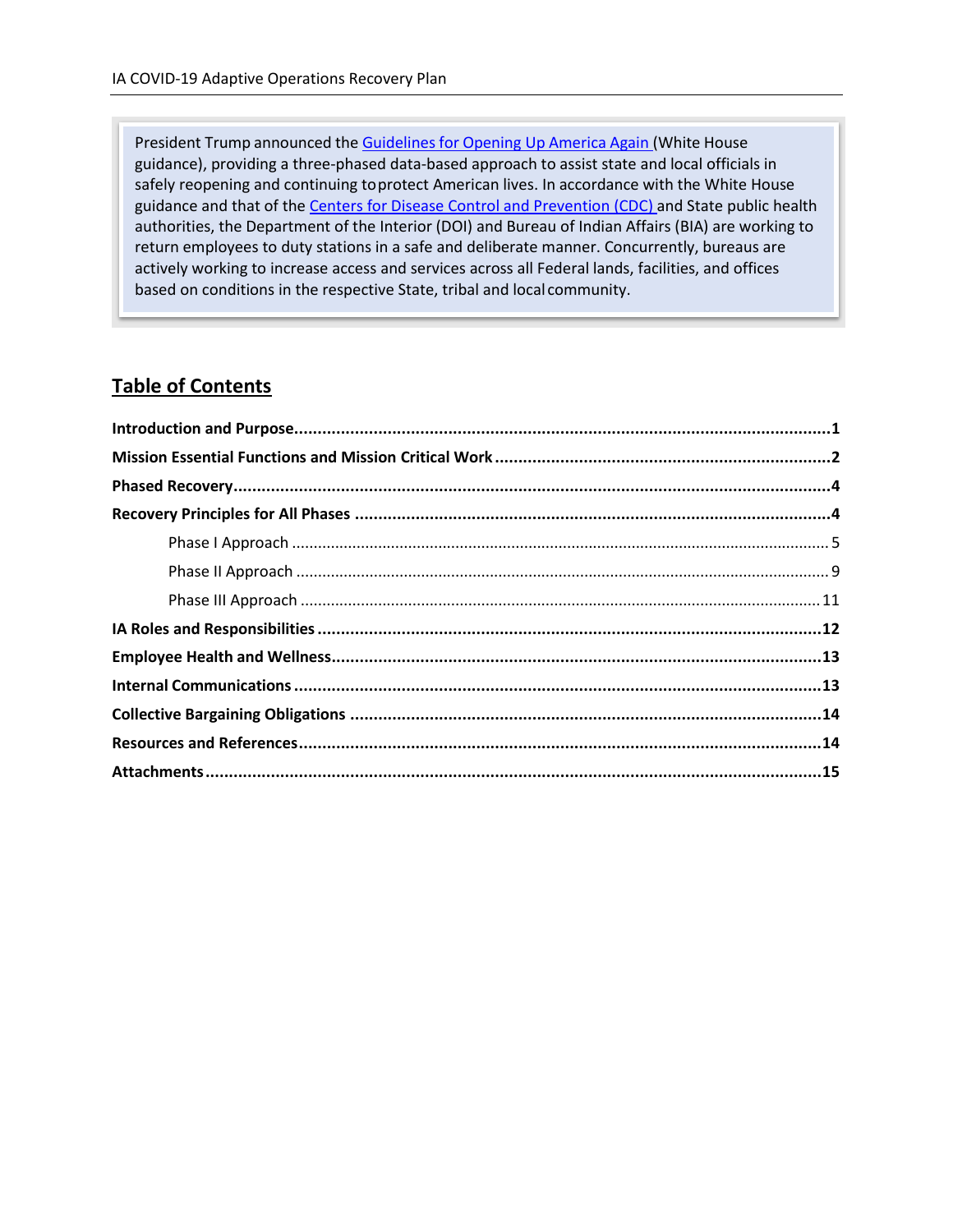President Trump announced the Guidelines for [Opening Up](https://www.whitehouse.gov/openingamerica/) America Again (White House guidance), providing a three-phased data-based approach to assist state and local officials in safely reopening and continuing toprotect American lives. In accordance with the White House guidance and that of the [Centers for Disease Control and Prevention](https://www.cdc.gov/coronavirus/2019-nCoV/index.html) (CDC) and State public health authorities, the Department of the Interior (DOI) and Bureau of Indian Affairs (BIA) are working to return employees to duty stations in a safe and deliberate manner. Concurrently, bureaus are actively working to increase access and services across all Federal lands, facilities, and offices based on conditions in the respective State, tribal and local community.

#### **Table of Contents**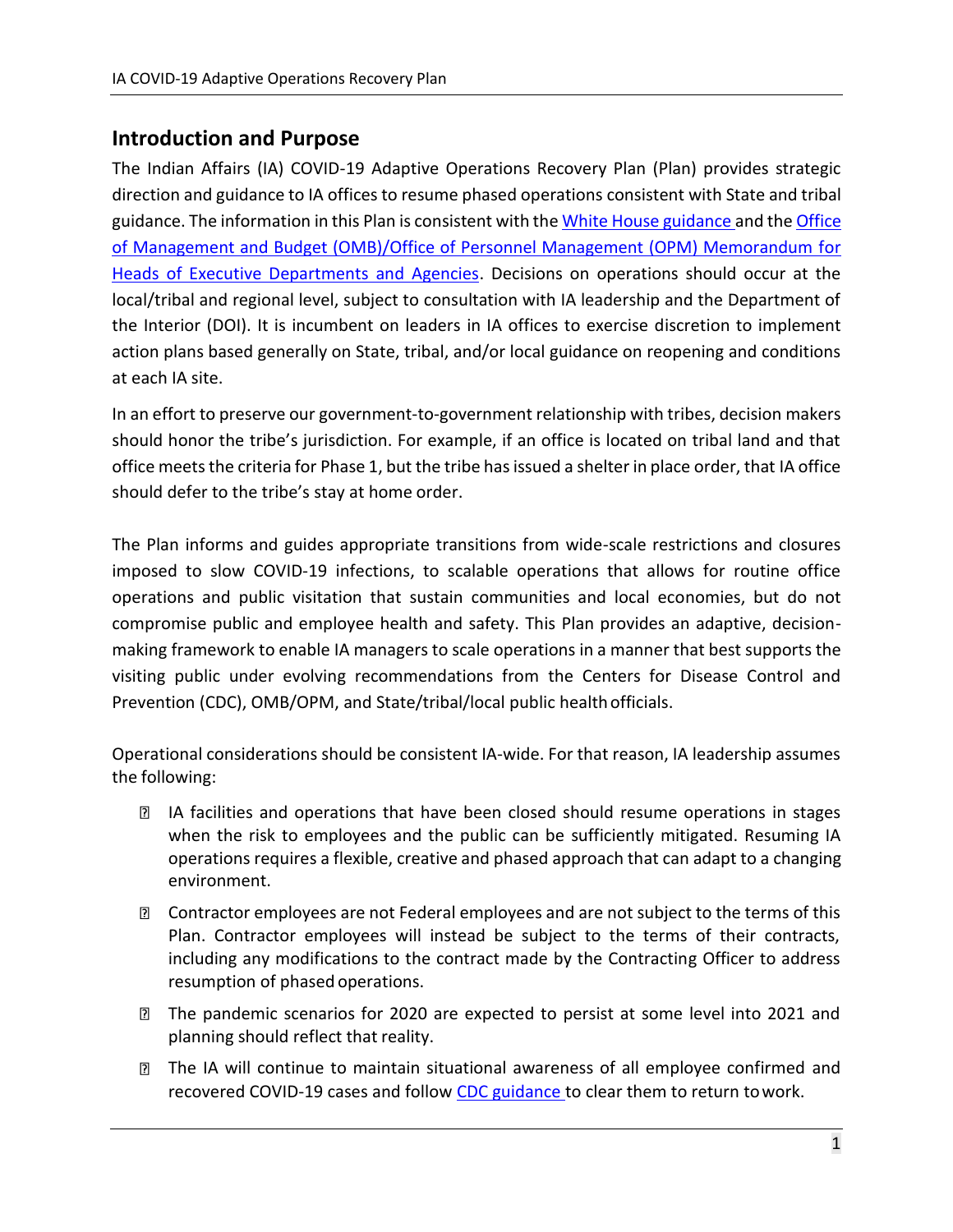## <span id="page-2-0"></span>**Introduction and Purpose**

The Indian Affairs (IA) COVID-19 Adaptive Operations Recovery Plan (Plan) provides strategic direction and guidance to IA offices to resume phased operations consistent with State and tribal [guidance](https://www.whitehouse.gov/openingamerica/). The information in this Plan is consistent with the White House guidance and the [Office](https://www.whitehouse.gov/wp-content/uploads/2020/04/M-20-23.pdf) [of Management and Budget \(OMB\)/Office of Personnel Management \(OPM\) Memorandum for](https://www.whitehouse.gov/wp-content/uploads/2020/04/M-20-23.pdf) Heads [of Executive Departments and Agencies.](https://www.whitehouse.gov/wp-content/uploads/2020/04/M-20-23.pdf) Decisions on operations should occur at the local/tribal and regional level, subject to consultation with IA leadership and the Department of the Interior (DOI). It is incumbent on leaders in IA offices to exercise discretion to implement action plans based generally on State, tribal, and/or local guidance on reopening and conditions at each IA site.

In an effort to preserve our government-to-government relationship with tribes, decision makers should honor the tribe's jurisdiction. For example, if an office is located on tribal land and that office meets the criteria for Phase 1, but the tribe has issued a shelter in place order, that IA office should defer to the tribe's stay at home order.

The Plan informs and guides appropriate transitions from wide-scale restrictions and closures imposed to slow COVID-19 infections, to scalable operations that allows for routine office operations and public visitation that sustain communities and local economies, but do not compromise public and employee health and safety. This Plan provides an adaptive, decisionmaking framework to enable IA managers to scale operations in a manner that best supports the visiting public under evolving recommendations from the Centers for Disease Control and Prevention (CDC), OMB/OPM, and State/tribal/local public healthofficials.

Operational considerations should be consistent IA-wide. For that reason, IA leadership assumes the following:

- **I** IA facilities and operations that have been closed should resume operations in stages when the risk to employees and the public can be sufficiently mitigated. Resuming IA operations requires a flexible, creative and phased approach that can adapt to a changing environment.
- **I** Contractor employees are not Federal employees and are not subject to the terms of this Plan. Contractor employees will instead be subject to the terms of their contracts, including any modifications to the contract made by the Contracting Officer to address resumption of phased operations.
- The pandemic scenarios for 2020 are expected to persist at some level into 2021 and planning should reflect that reality.
- **The IA will continue to maintain situational awareness of all employee confirmed and** recovered COVID-19 cases and follow [CDC guidance t](https://www.cdc.gov/coronavirus/2019-ncov/hcp/disposition-in-home-patients.html)o clear them to return to work.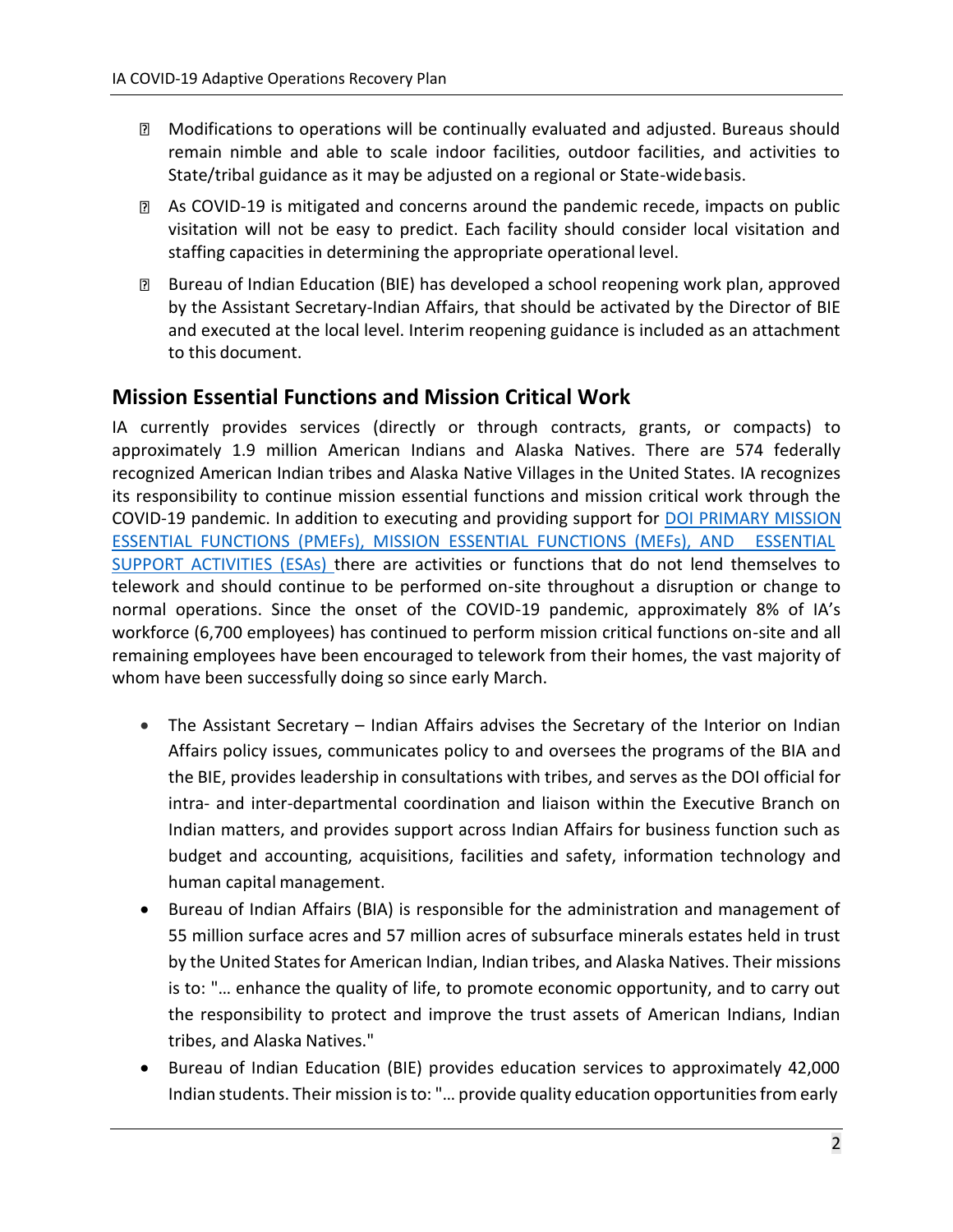- Modifications to operations will be continually evaluated and adjusted. Bureaus should remain nimble and able to scale indoor facilities, outdoor facilities, and activities to State/tribal guidance as it may be adjusted on a regional or State-widebasis.
- As COVID-19 is mitigated and concerns around the pandemic recede, impacts on public visitation will not be easy to predict. Each facility should consider local visitation and staffing capacities in determining the appropriate operational level.
- Bureau of Indian Education (BIE) has developed a school reopening work plan, approved by the Assistant Secretary-Indian Affairs, that should be activated by the Director of BIE and executed at the local level. Interim reopening guidance is included as an attachment to this document.

## <span id="page-3-0"></span>**Mission Essential Functions and Mission Critical Work**

IA currently provides services (directly or through contracts, grants, or compacts) to approximately 1.9 million American Indians and Alaska Natives. There are 574 federally recognized American Indian tribes and Alaska Native Villages in the United States. IA recognizes its responsibility to continue mission essential functions and mission critical work through the COVID-19 pandemic. In addition to executing and providing support for [DOI PRIMARY MISSION](https://doimspp.sharepoint.com/sites/doicov/SitePages/DOI-Mission-Essential-Functions-and-Essential-Support-Activities.aspx?csf=1&e=22Zu5b) [ESSENTIAL FUNCTIONS \(PMEFs\), MISSION ESSENTIAL FUNCTIONS \(MEFs\), AND ESSENTIAL](https://doimspp.sharepoint.com/sites/doicov/SitePages/DOI-Mission-Essential-Functions-and-Essential-Support-Activities.aspx?csf=1&e=22Zu5b) [SUPPORT ACTIVITIES \(ESAs\)](https://doimspp.sharepoint.com/sites/doicov/SitePages/DOI-Mission-Essential-Functions-and-Essential-Support-Activities.aspx?csf=1&e=22Zu5b) there are activities or functions that do not lend themselves to telework and should continue to be performed on-site throughout a disruption or change to normal operations. Since the onset of the COVID-19 pandemic, approximately 8% of IA's workforce (6,700 employees) has continued to perform mission critical functions on-site and all remaining employees have been encouraged to telework from their homes, the vast majority of whom have been successfully doing so since early March.

- The Assistant Secretary Indian Affairs advises the Secretary of the Interior on Indian Affairs policy issues, communicates policy to and oversees the programs of the BIA and the BIE, provides leadership in consultations with tribes, and serves as the DOI official for intra- and inter-departmental coordination and liaison within the Executive Branch on Indian matters, and provides support across Indian Affairs for business function such as budget and accounting, acquisitions, facilities and safety, information technology and human capital management.
- Bureau of Indian Affairs (BIA) is responsible for the administration and management of 55 million surface acres and 57 million acres of subsurface minerals estates held in trust by the United Statesfor American Indian, Indian tribes, and Alaska Natives. Their missions is to: "… enhance the quality of life, to promote economic opportunity, and to carry out the responsibility to protect and improve the trust assets of American Indians, Indian tribes, and Alaska Natives."
- Bureau of Indian Education (BIE) provides education services to approximately 42,000 Indian students. Their mission is to: "... provide quality education opportunities from early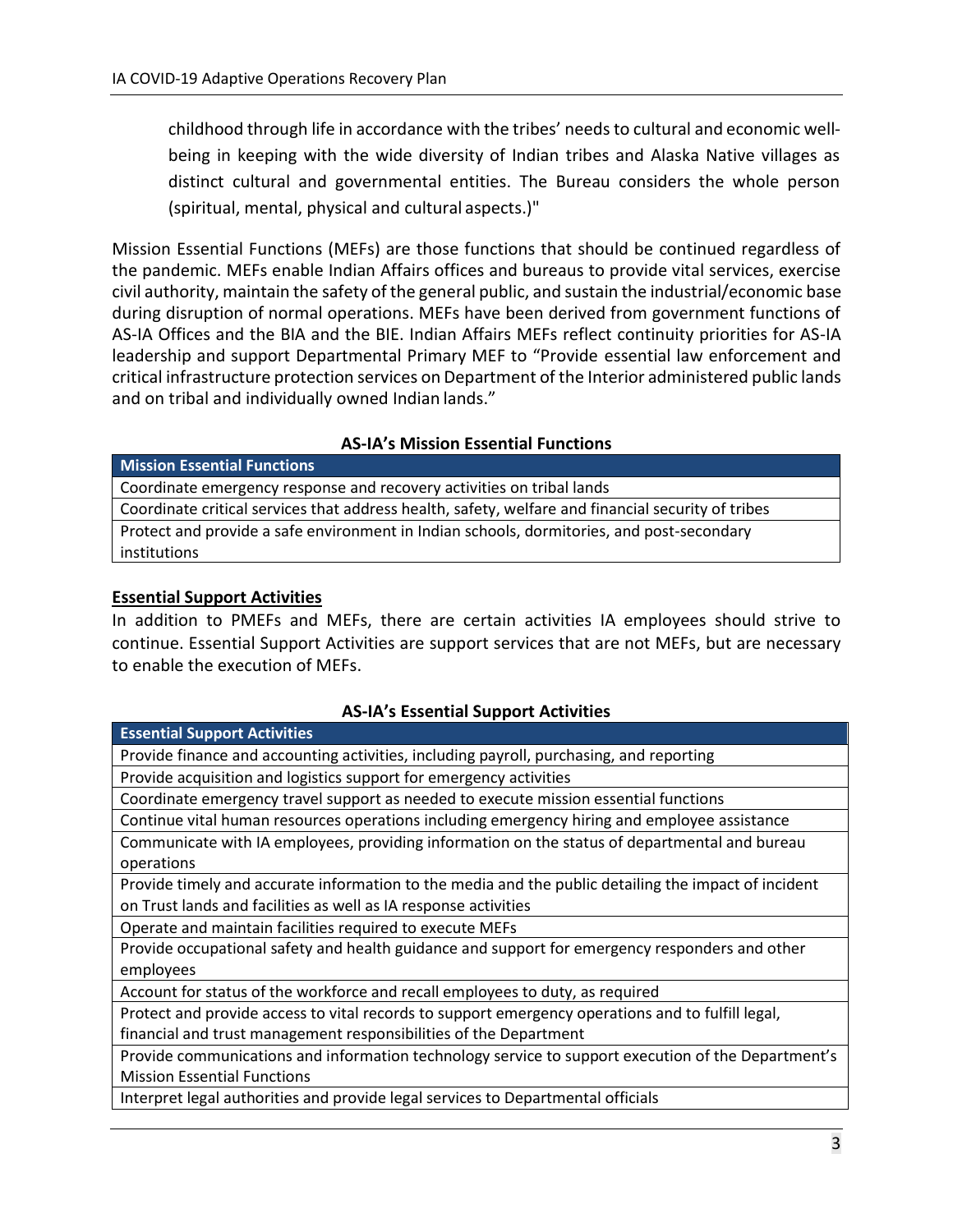childhood through life in accordance with the tribes' needsto cultural and economic wellbeing in keeping with the wide diversity of Indian tribes and Alaska Native villages as distinct cultural and governmental entities. The Bureau considers the whole person (spiritual, mental, physical and cultural aspects.)"

Mission Essential Functions (MEFs) are those functions that should be continued regardless of the pandemic. MEFs enable Indian Affairs offices and bureaus to provide vital services, exercise civil authority, maintain the safety of the general public, and sustain the industrial/economic base during disruption of normal operations. MEFs have been derived from government functions of AS-IA Offices and the BIA and the BIE. Indian Affairs MEFs reflect continuity priorities for AS-IA leadership and support Departmental Primary MEF to "Provide essential law enforcement and critical infrastructure protection services on Department of the Interior administered public lands and on tribal and individually owned Indian lands."

#### **AS-IA's Mission Essential Functions**

| <b>Mission Essential Functions</b>                                                                 |
|----------------------------------------------------------------------------------------------------|
| Coordinate emergency response and recovery activities on tribal lands                              |
| Coordinate critical services that address health, safety, welfare and financial security of tribes |
| Protect and provide a safe environment in Indian schools, dormitories, and post-secondary          |
| institutions                                                                                       |

#### **Essential Support Activities**

In addition to PMEFs and MEFs, there are certain activities IA employees should strive to continue. Essential Support Activities are support services that are not MEFs, but are necessary to enable the execution of MEFs.

#### **AS-IA's Essential Support Activities**

| <b>Essential Support Activities</b>                                                                  |
|------------------------------------------------------------------------------------------------------|
| Provide finance and accounting activities, including payroll, purchasing, and reporting              |
| Provide acquisition and logistics support for emergency activities                                   |
| Coordinate emergency travel support as needed to execute mission essential functions                 |
| Continue vital human resources operations including emergency hiring and employee assistance         |
| Communicate with IA employees, providing information on the status of departmental and bureau        |
| operations                                                                                           |
| Provide timely and accurate information to the media and the public detailing the impact of incident |
| on Trust lands and facilities as well as IA response activities                                      |
| Operate and maintain facilities required to execute MEFs                                             |
| Provide occupational safety and health guidance and support for emergency responders and other       |
| employees                                                                                            |
| Account for status of the workforce and recall employees to duty, as required                        |
| Protect and provide access to vital records to support emergency operations and to fulfill legal,    |
| financial and trust management responsibilities of the Department                                    |
| Provide communications and information technology service to support execution of the Department's   |
| <b>Mission Essential Functions</b>                                                                   |
| Interpret legal authorities and provide legal services to Departmental officials                     |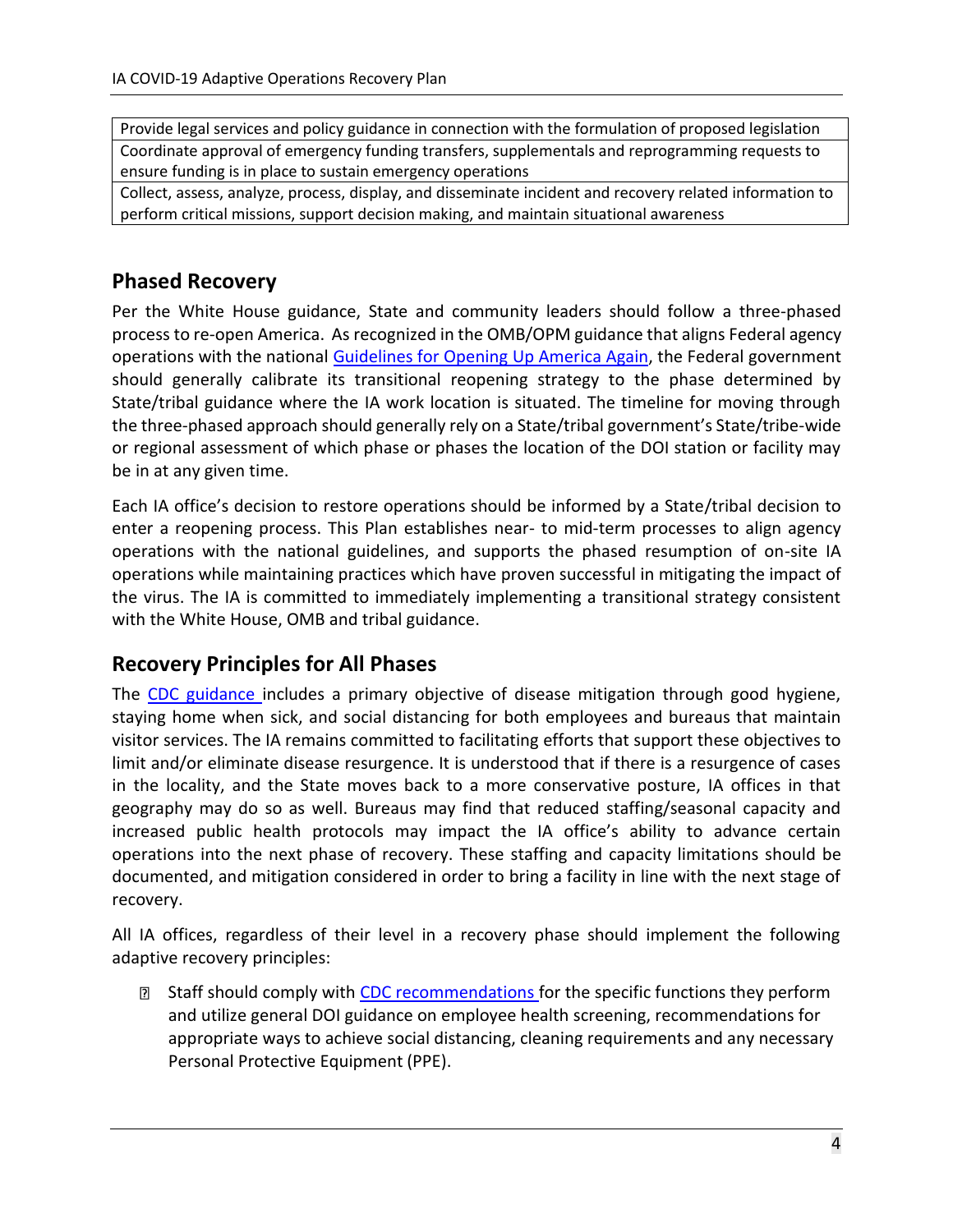Provide legal services and policy guidance in connection with the formulation of proposed legislation Coordinate approval of emergency funding transfers, supplementals and reprogramming requests to ensure funding is in place to sustain emergency operations

Collect, assess, analyze, process, display, and disseminate incident and recovery related information to perform critical missions, support decision making, and maintain situational awareness

## <span id="page-5-0"></span>**Phased Recovery**

Per the White House guidance, State and community leaders should follow a three-phased process to re-open America. As recognized in the OMB/OPM guidance that aligns Federal agency operations with the national [Guidelines for Opening Up America Again,](https://www.whitehouse.gov/openingamerica/) the Federal government should generally calibrate its transitional reopening strategy to the phase determined by State/tribal guidance where the IA work location is situated. The timeline for moving through the three-phased approach should generally rely on a State/tribal government's State/tribe-wide or regional assessment of which phase or phases the location of the DOI station or facility may be in at any given time.

Each IA office's decision to restore operations should be informed by a State/tribal decision to enter a reopening process. This Plan establishes near- to mid-term processes to align agency operations with the national guidelines, and supports the phased resumption of on-site IA operations while maintaining practices which have proven successful in mitigating the impact of the virus. The IA is committed to immediately implementing a transitional strategy consistent with the White House, OMB and tribal guidance.

## <span id="page-5-1"></span>**Recovery Principles for All Phases**

The [CDC guidance](https://www.cdc.gov/coronavirus/2019-ncov/index.html) includes a primary objective of disease mitigation through good hygiene, staying home when sick, and social distancing for both employees and bureaus that maintain visitor services. The IA remains committed to facilitating efforts that support these objectives to limit and/or eliminate disease resurgence. It is understood that if there is a resurgence of cases in the locality, and the State moves back to a more conservative posture, IA offices in that geography may do so as well. Bureaus may find that reduced staffing/seasonal capacity and increased public health protocols may impact the IA office's ability to advance certain operations into the next phase of recovery. These staffing and capacity limitations should be documented, and mitigation considered in order to bring a facility in line with the next stage of recovery.

All IA offices, regardless of their level in a recovery phase should implement the following adaptive recovery principles:

**EXECUTE:** Staff should comply with [CDC recommendations f](https://www.cdc.gov/coronavirus/2019-ncov/community/guidance-business-response.html)or the specific functions they perform and utilize general DOI guidance on employee health screening, recommendations for appropriate ways to achieve social distancing, cleaning requirements and any necessary Personal Protective Equipment (PPE).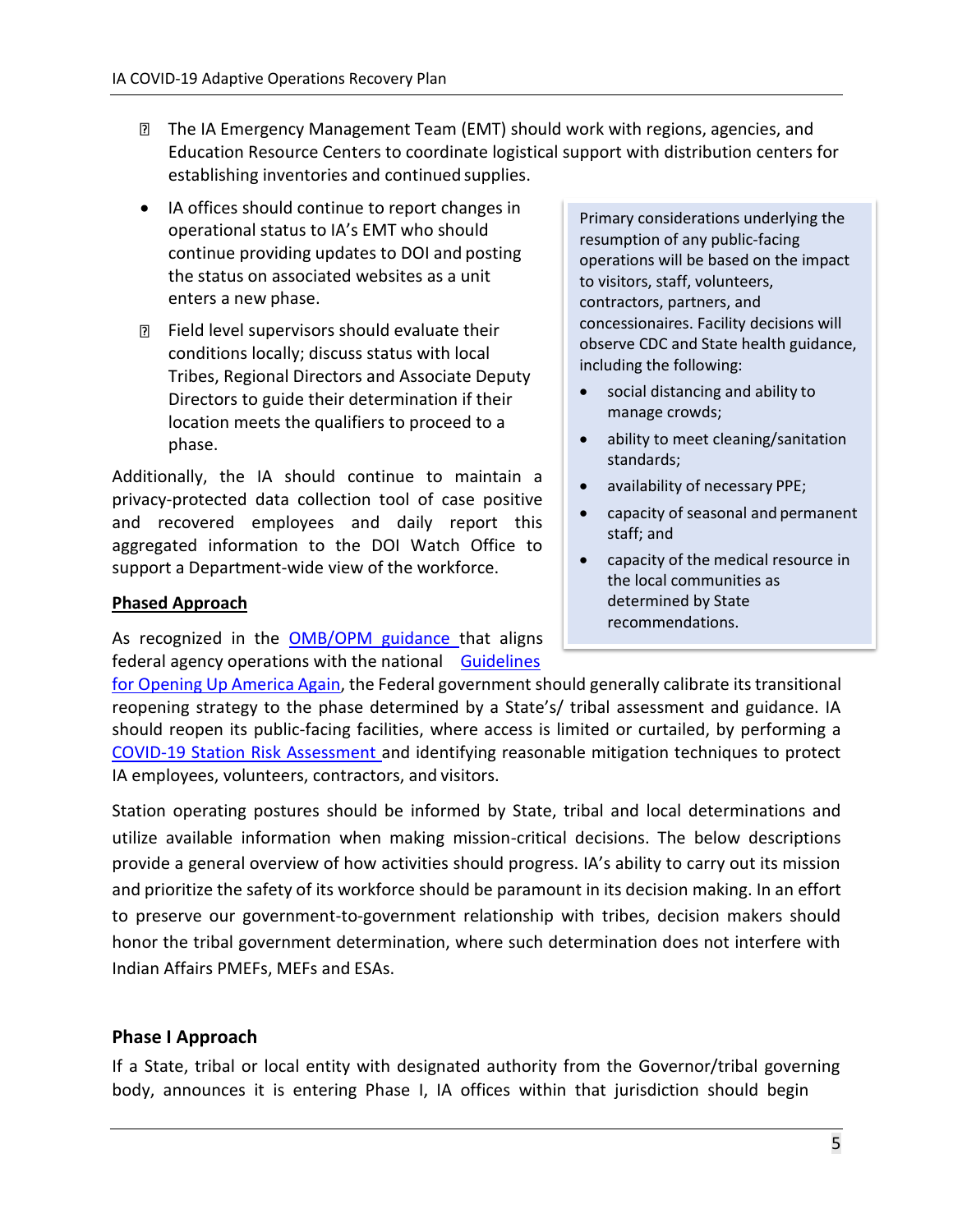- The IA Emergency Management Team (EMT) should work with regions, agencies, and Education Resource Centers to coordinate logistical support with distribution centers for establishing inventories and continued supplies.
- IA offices should continue to report changes in operational status to IA's EMT who should continue providing updates to DOI and posting the status on associated websites as a unit enters a new phase.
- $\mathbb D$  Field level supervisors should evaluate their conditions locally; discuss status with local Tribes, Regional Directors and Associate Deputy Directors to guide their determination if their location meets the qualifiers to proceed to a phase.

Additionally, the IA should continue to maintain a privacy-protected data collection tool of case positive and recovered employees and daily report this aggregated information to the DOI Watch Office to support a Department-wide view of the workforce.

#### **Phased Approach**

As recognized in the [OMB/OPM guidance](https://www.whitehouse.gov/wp-content/uploads/2020/04/M-20-23.pdf) that aligns federal agency operations with the national [Guidelines](https://www.whitehouse.gov/openingamerica/)

Primary considerations underlying the resumption of any public-facing operations will be based on the impact to visitors, staff, volunteers, contractors, partners, and concessionaires. Facility decisions will observe CDC and State health guidance, including the following:

- social distancing and ability to manage crowds;
- ability to meet cleaning/sanitation standards;
- availability of necessary PPE;
- capacity of seasonal and permanent staff; and
- capacity of the medical resource in the local communities as determined by State recommendations.

for [Opening](https://www.whitehouse.gov/openingamerica/) Up America Again, the Federal government should generally calibrate its transitional reopening strategy to the phase determined by a State's/ tribal assessment and guidance. IA should reopen its public-facing facilities, where access is limited or curtailed, by performing a [COVID-19 Station Risk Assessment a](https://doimspp.sharepoint.com/sites/doicov/SitePages/DOI-COVID19-Station-Risk-Assessment-Tool.aspx?CT=1589893486089&OR=OWA-NT&CID=df99e370-8807-1121-1a2f-6532d4e73d07)nd identifying reasonable mitigation techniques to protect IA employees, volunteers, contractors, and visitors.

Station operating postures should be informed by State, tribal and local determinations and utilize available information when making mission-critical decisions. The below descriptions provide a general overview of how activities should progress. IA's ability to carry out its mission and prioritize the safety of its workforce should be paramount in its decision making. In an effort to preserve our government-to-government relationship with tribes, decision makers should honor the tribal government determination, where such determination does not interfere with Indian Affairs PMEFs, MEFs and ESAs.

#### <span id="page-6-0"></span>**Phase I Approach**

If a State, tribal or local entity with designated authority from the Governor/tribal governing body, announces it is entering Phase I, IA offices within that jurisdiction should begin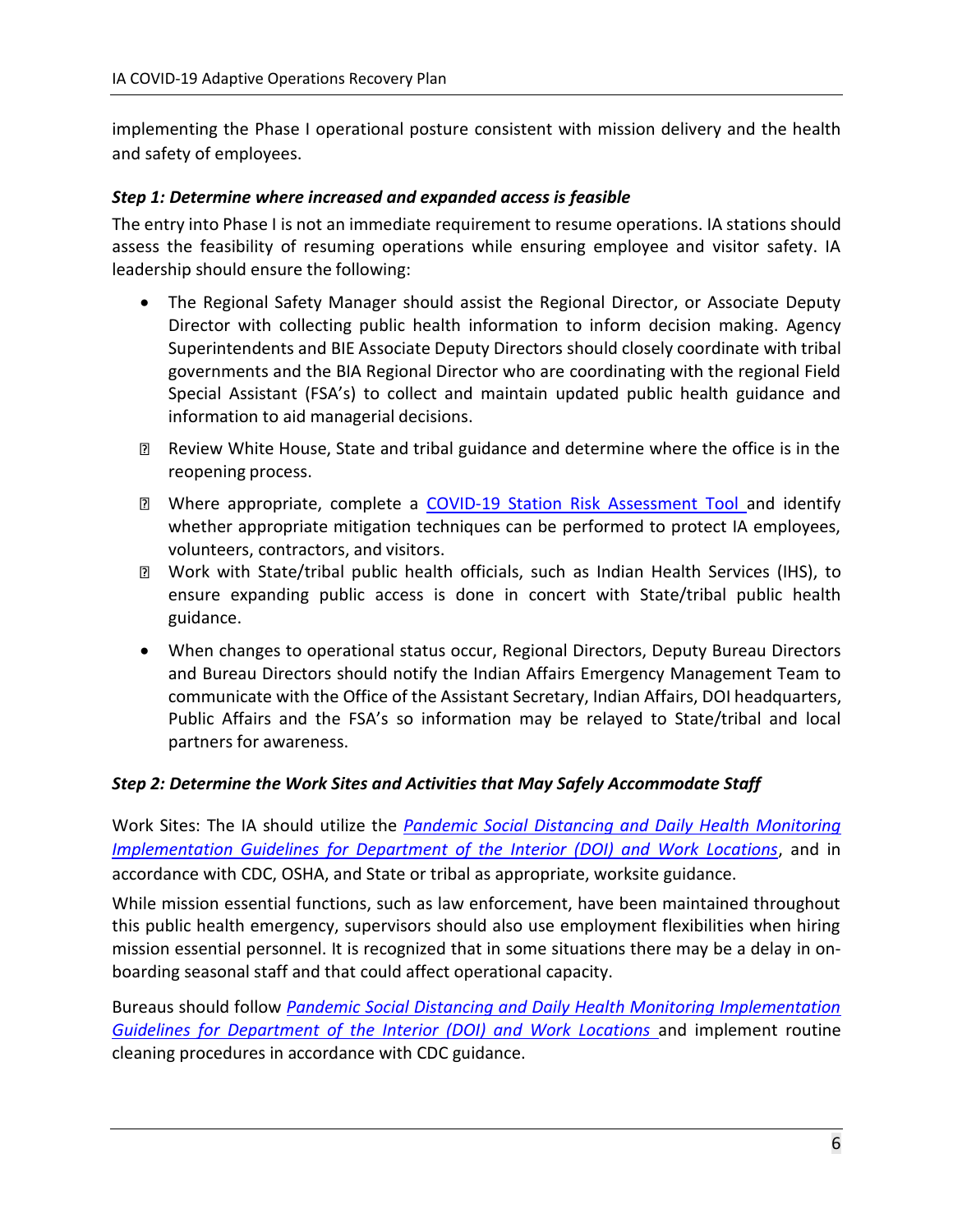implementing the Phase I operational posture consistent with mission delivery and the health and safety of employees.

#### *Step 1: Determine where increased and expanded access is feasible*

The entry into Phase I is not an immediate requirement to resume operations. IA stations should assess the feasibility of resuming operations while ensuring employee and visitor safety. IA leadership should ensure the following:

- The Regional Safety Manager should assist the Regional Director, or Associate Deputy Director with collecting public health information to inform decision making. Agency Superintendents and BIE Associate Deputy Directors should closely coordinate with tribal governments and the BIA Regional Director who are coordinating with the regional Field Special Assistant (FSA's) to collect and maintain updated public health guidance and information to aid managerial decisions.
- Review White House, State and tribal guidance and determine where the office is in the reopening process.
- Where appropriate, complete a [COVID-19 Station Risk Assessment Tool a](https://doimspp.sharepoint.com/sites/doicov/SitePages/DOI-COVID19-Station-Risk-Assessment-Tool.aspx?CT=1589893486089&OR=OWA-NT&CID=df99e370-8807-1121-1a2f-6532d4e73d07)nd identify whether appropriate mitigation techniques can be performed to protect IA employees, volunteers, contractors, and visitors.
- Work with State/tribal public health officials, such as Indian Health Services (IHS), to ensure expanding public access is done in concert with State/tribal public health guidance.
- When changes to operational status occur, Regional Directors, Deputy Bureau Directors and Bureau Directors should notify the Indian Affairs Emergency Management Team to communicate with the Office of the Assistant Secretary, Indian Affairs, DOI headquarters, Public Affairs and the FSA's so information may be relayed to State/tribal and local partners for awareness.

#### *Step 2: Determine the Work Sites and Activities that May Safely Accommodate Staff*

Work Sites: The IA should utilize the *[Pandemic Social Distancing and Daily Health Monitoring](https://doimspp.sharepoint.com/sites/doicov/Shared%20Documents/DOI%20Pandemic%20Social%20Distancing%20and%20Daily%20Health%20Monitoring%20Guidance%20V1%2018MAY20.pdf?CT=1589853687242&OR=OWA-NT&CID=80d0ad1d-8201-1ee7-85fd-d4b29666c19b) [Implementation Guidelines for Department of the Interior \(DOI\) and Work Locations](https://doimspp.sharepoint.com/sites/doicov/Shared%20Documents/DOI%20Pandemic%20Social%20Distancing%20and%20Daily%20Health%20Monitoring%20Guidance%20V1%2018MAY20.pdf?CT=1589853687242&OR=OWA-NT&CID=80d0ad1d-8201-1ee7-85fd-d4b29666c19b)*, and in accordance with CDC, OSHA, and State or tribal as appropriate, worksite guidance.

While mission essential functions, such as law enforcement, have been maintained throughout this public health emergency, supervisors should also use employment flexibilities when hiring mission essential personnel. It is recognized that in some situations there may be a delay in onboarding seasonal staff and that could affect operational capacity.

Bureaus should follow *[Pandemic Social Distancing and Daily Health Monitoring Implementation](https://doimspp.sharepoint.com/sites/doicov/Shared%20Documents/DOI%20Pandemic%20Social%20Distancing%20and%20Daily%20Health%20Monitoring%20Guidance%20V1%2018MAY20.pdf?CT=1589853687242&OR=OWA-NT&CID=80d0ad1d-8201-1ee7-85fd-d4b29666c19b) [Guidelines for Department of the Interior \(DOI\) and Work Locations](https://doimspp.sharepoint.com/sites/doicov/Shared%20Documents/DOI%20Pandemic%20Social%20Distancing%20and%20Daily%20Health%20Monitoring%20Guidance%20V1%2018MAY20.pdf?CT=1589853687242&OR=OWA-NT&CID=80d0ad1d-8201-1ee7-85fd-d4b29666c19b)* and implement routine cleaning procedures in accordance with CDC guidance.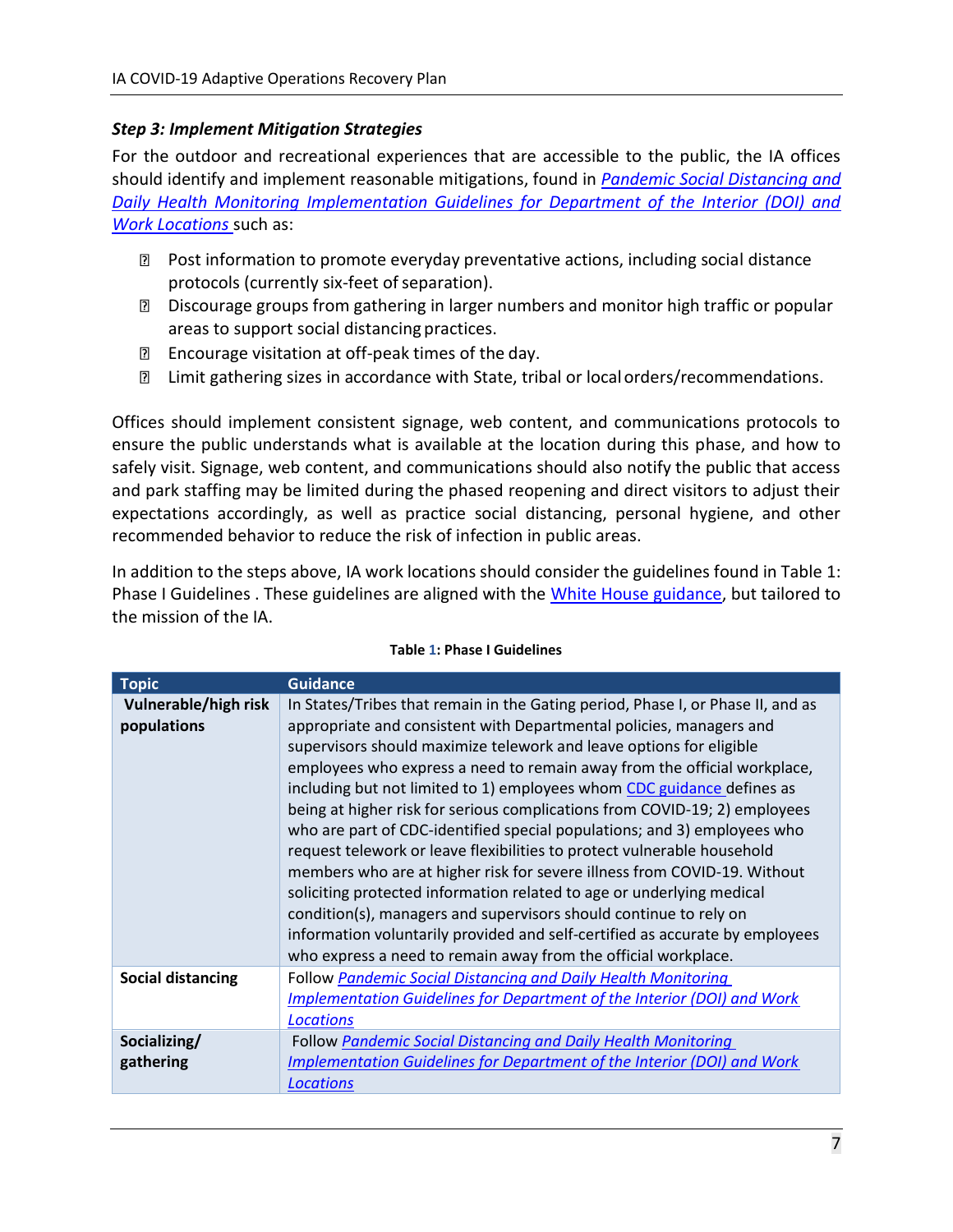#### *Step 3: Implement Mitigation Strategies*

For the outdoor and recreational experiences that are accessible to the public, the IA offices should identify and implement reasonable mitigations, found in *[Pandemic Social Distancing and](https://doimspp.sharepoint.com/sites/doicov/Shared%20Documents/DOI%20Pandemic%20Social%20Distancing%20and%20Daily%20Health%20Monitoring%20Guidance%20V1%2018MAY20.pdf?CT=1589853687242&OR=OWA-NT&CID=80d0ad1d-8201-1ee7-85fd-d4b29666c19b) [Daily Health Monitoring Implementation Guidelines for Department of the Interior \(DOI\) and](https://doimspp.sharepoint.com/sites/doicov/Shared%20Documents/DOI%20Pandemic%20Social%20Distancing%20and%20Daily%20Health%20Monitoring%20Guidance%20V1%2018MAY20.pdf?CT=1589853687242&OR=OWA-NT&CID=80d0ad1d-8201-1ee7-85fd-d4b29666c19b) [Work Locations](https://doimspp.sharepoint.com/sites/doicov/Shared%20Documents/DOI%20Pandemic%20Social%20Distancing%20and%20Daily%20Health%20Monitoring%20Guidance%20V1%2018MAY20.pdf?CT=1589853687242&OR=OWA-NT&CID=80d0ad1d-8201-1ee7-85fd-d4b29666c19b)* such as:

- Post information to promote everyday preventative actions, including social distance protocols (currently six-feet of separation).
- Discourage groups from gathering in larger numbers and monitor high traffic or popular areas to support social distancing practices.
- Encourage visitation at off-peak times of the day.
- **I** Limit gathering sizes in accordance with State, tribal or local orders/recommendations.

Offices should implement consistent signage, web content, and communications protocols to ensure the public understands what is available at the location during this phase, and how to safely visit. Signage, web content, and communications should also notify the public that access and park staffing may be limited during the phased reopening and direct visitors to adjust their expectations accordingly, as well as practice social distancing, personal hygiene, and other recommended behavior to reduce the risk of infection in public areas.

In addition to the steps above, IA work locations should consider the guidelines found in [Table](#page-8-0) 1: [Phase I Guidelines .](#page-8-0) These guidelines are aligned with the [White House guidance,](https://www.whitehouse.gov/openingamerica/) but tailored to the mission of the IA.

<span id="page-8-0"></span>

| <b>Topic</b>                        | <b>Guidance</b>                                                                                                                                                                                                                                                                                                                                                                                                                                                                                                                                                                                                                                                                                                                                                                                                                                                                                                                                                                                      |
|-------------------------------------|------------------------------------------------------------------------------------------------------------------------------------------------------------------------------------------------------------------------------------------------------------------------------------------------------------------------------------------------------------------------------------------------------------------------------------------------------------------------------------------------------------------------------------------------------------------------------------------------------------------------------------------------------------------------------------------------------------------------------------------------------------------------------------------------------------------------------------------------------------------------------------------------------------------------------------------------------------------------------------------------------|
| Vulnerable/high risk<br>populations | In States/Tribes that remain in the Gating period, Phase I, or Phase II, and as<br>appropriate and consistent with Departmental policies, managers and<br>supervisors should maximize telework and leave options for eligible<br>employees who express a need to remain away from the official workplace,<br>including but not limited to 1) employees whom CDC guidance defines as<br>being at higher risk for serious complications from COVID-19; 2) employees<br>who are part of CDC-identified special populations; and 3) employees who<br>request telework or leave flexibilities to protect vulnerable household<br>members who are at higher risk for severe illness from COVID-19. Without<br>soliciting protected information related to age or underlying medical<br>condition(s), managers and supervisors should continue to rely on<br>information voluntarily provided and self-certified as accurate by employees<br>who express a need to remain away from the official workplace. |
| <b>Social distancing</b>            | <b>Follow Pandemic Social Distancing and Daily Health Monitoring</b><br>Implementation Guidelines for Department of the Interior (DOI) and Work<br><b>Locations</b>                                                                                                                                                                                                                                                                                                                                                                                                                                                                                                                                                                                                                                                                                                                                                                                                                                  |
| Socializing/<br>gathering           | Follow Pandemic Social Distancing and Daily Health Monitoring<br><b>Implementation Guidelines for Department of the Interior (DOI) and Work</b><br><b>Locations</b>                                                                                                                                                                                                                                                                                                                                                                                                                                                                                                                                                                                                                                                                                                                                                                                                                                  |

#### **Table 1: Phase I Guidelines**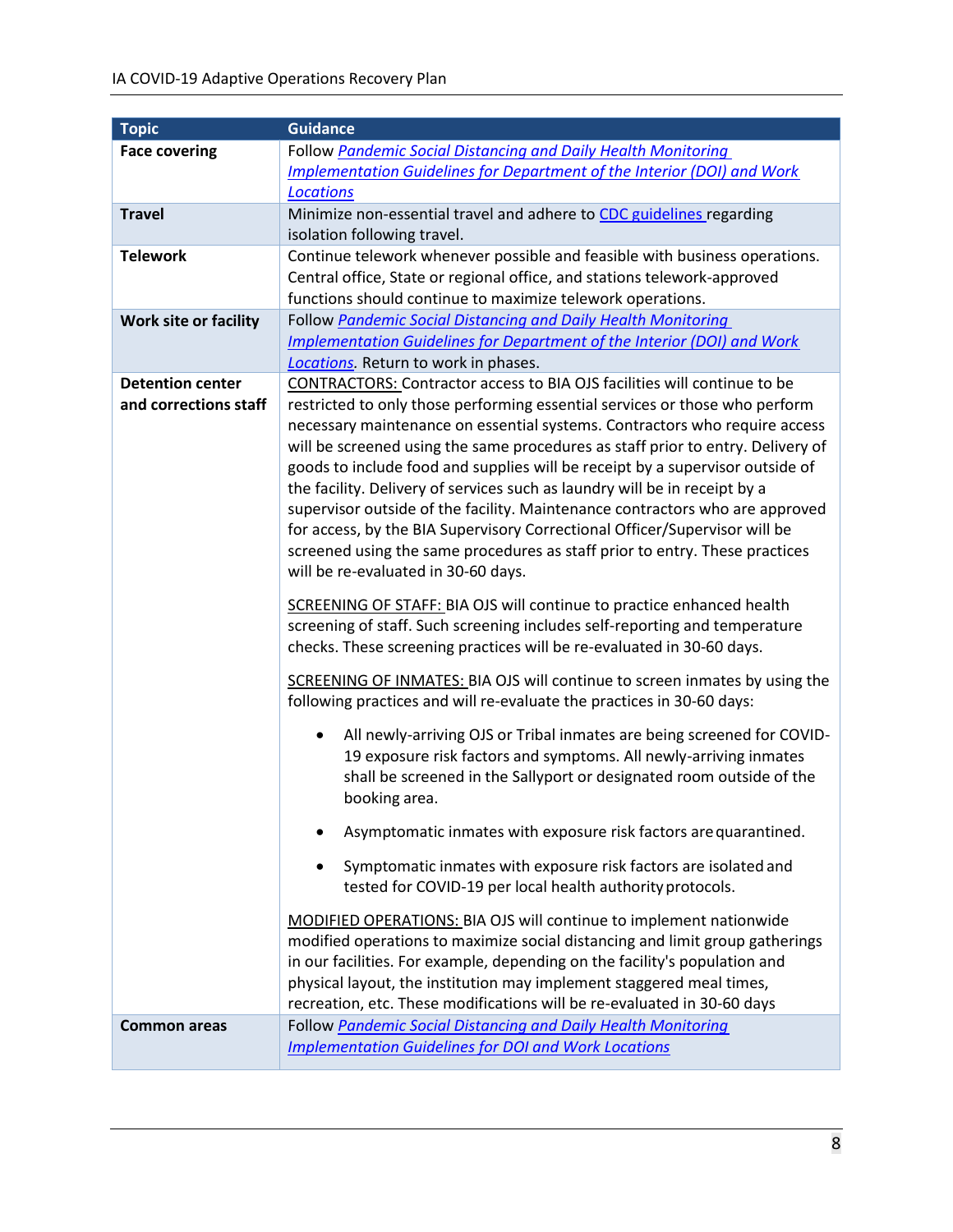| <b>Topic</b>                 | <b>Guidance</b>                                                                                                                                                                                                                                                                                                                                                                                                                                                                                                                                                           |
|------------------------------|---------------------------------------------------------------------------------------------------------------------------------------------------------------------------------------------------------------------------------------------------------------------------------------------------------------------------------------------------------------------------------------------------------------------------------------------------------------------------------------------------------------------------------------------------------------------------|
| <b>Face covering</b>         | Follow Pandemic Social Distancing and Daily Health Monitoring                                                                                                                                                                                                                                                                                                                                                                                                                                                                                                             |
|                              | Implementation Guidelines for Department of the Interior (DOI) and Work                                                                                                                                                                                                                                                                                                                                                                                                                                                                                                   |
|                              | <b>Locations</b>                                                                                                                                                                                                                                                                                                                                                                                                                                                                                                                                                          |
| <b>Travel</b>                | Minimize non-essential travel and adhere to CDC guidelines regarding                                                                                                                                                                                                                                                                                                                                                                                                                                                                                                      |
|                              | isolation following travel.                                                                                                                                                                                                                                                                                                                                                                                                                                                                                                                                               |
| <b>Telework</b>              | Continue telework whenever possible and feasible with business operations.                                                                                                                                                                                                                                                                                                                                                                                                                                                                                                |
|                              | Central office, State or regional office, and stations telework-approved                                                                                                                                                                                                                                                                                                                                                                                                                                                                                                  |
|                              | functions should continue to maximize telework operations.                                                                                                                                                                                                                                                                                                                                                                                                                                                                                                                |
| <b>Work site or facility</b> | Follow Pandemic Social Distancing and Daily Health Monitoring                                                                                                                                                                                                                                                                                                                                                                                                                                                                                                             |
|                              | Implementation Guidelines for Department of the Interior (DOI) and Work                                                                                                                                                                                                                                                                                                                                                                                                                                                                                                   |
| <b>Detention center</b>      | Locations. Return to work in phases.<br>CONTRACTORS: Contractor access to BIA OJS facilities will continue to be                                                                                                                                                                                                                                                                                                                                                                                                                                                          |
| and corrections staff        | restricted to only those performing essential services or those who perform<br>necessary maintenance on essential systems. Contractors who require access<br>will be screened using the same procedures as staff prior to entry. Delivery of<br>goods to include food and supplies will be receipt by a supervisor outside of<br>the facility. Delivery of services such as laundry will be in receipt by a<br>supervisor outside of the facility. Maintenance contractors who are approved<br>for access, by the BIA Supervisory Correctional Officer/Supervisor will be |
|                              | screened using the same procedures as staff prior to entry. These practices<br>will be re-evaluated in 30-60 days.                                                                                                                                                                                                                                                                                                                                                                                                                                                        |
|                              | <b>SCREENING OF STAFF: BIA OJS will continue to practice enhanced health</b><br>screening of staff. Such screening includes self-reporting and temperature<br>checks. These screening practices will be re-evaluated in 30-60 days.                                                                                                                                                                                                                                                                                                                                       |
|                              | SCREENING OF INMATES: BIA OJS will continue to screen inmates by using the<br>following practices and will re-evaluate the practices in 30-60 days:                                                                                                                                                                                                                                                                                                                                                                                                                       |
|                              | All newly-arriving OJS or Tribal inmates are being screened for COVID-<br>$\bullet$<br>19 exposure risk factors and symptoms. All newly-arriving inmates<br>shall be screened in the Sallyport or designated room outside of the<br>booking area.                                                                                                                                                                                                                                                                                                                         |
|                              | Asymptomatic inmates with exposure risk factors are quarantined.                                                                                                                                                                                                                                                                                                                                                                                                                                                                                                          |
|                              | Symptomatic inmates with exposure risk factors are isolated and<br>tested for COVID-19 per local health authority protocols.                                                                                                                                                                                                                                                                                                                                                                                                                                              |
|                              | MODIFIED OPERATIONS: BIA OJS will continue to implement nationwide<br>modified operations to maximize social distancing and limit group gatherings<br>in our facilities. For example, depending on the facility's population and<br>physical layout, the institution may implement staggered meal times,<br>recreation, etc. These modifications will be re-evaluated in 30-60 days                                                                                                                                                                                       |
| <b>Common areas</b>          | Follow Pandemic Social Distancing and Daily Health Monitoring<br><b>Implementation Guidelines for DOI and Work Locations</b>                                                                                                                                                                                                                                                                                                                                                                                                                                              |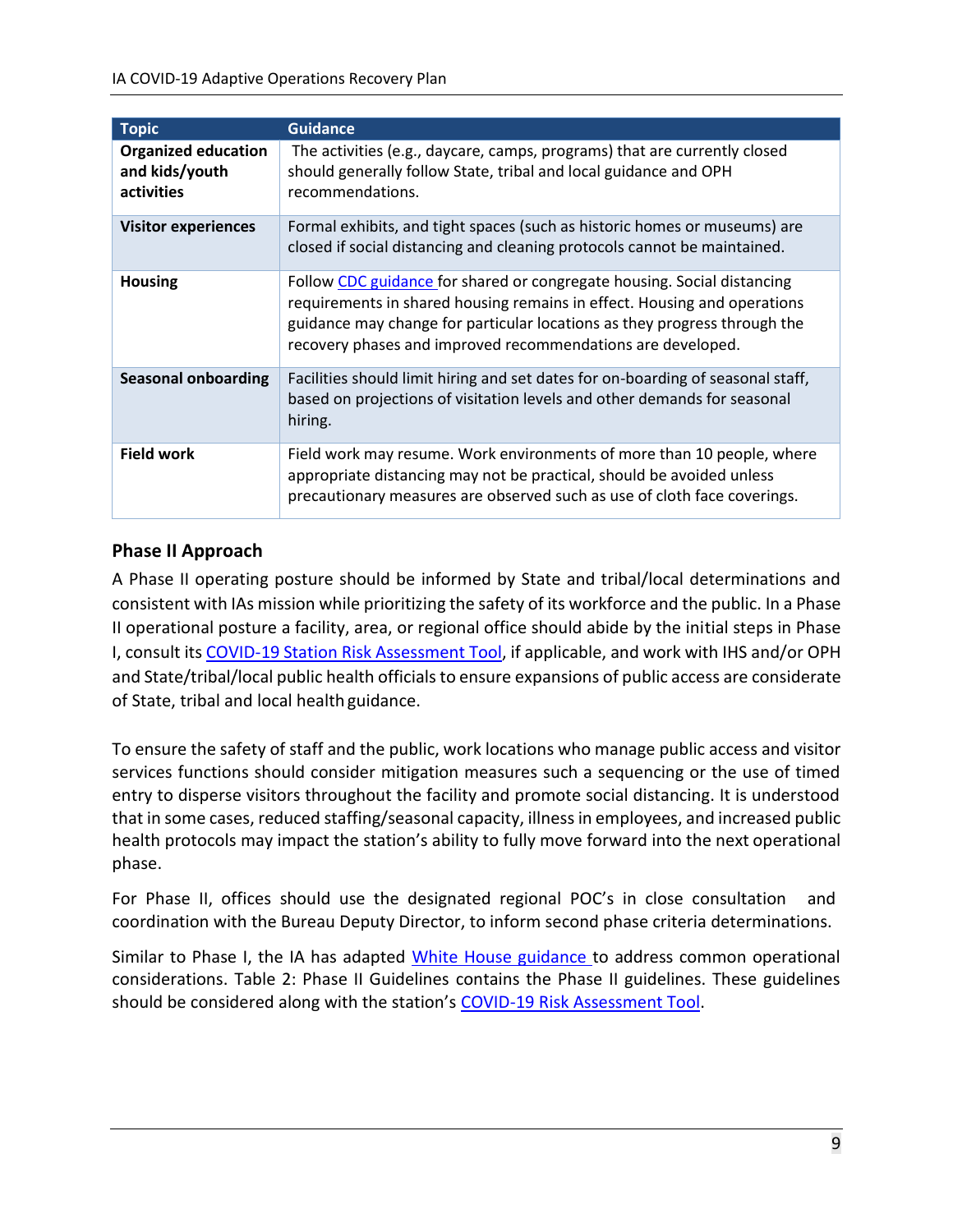| <b>Topic</b>                                               | <b>Guidance</b>                                                                                                                                                                                                                                                                                 |
|------------------------------------------------------------|-------------------------------------------------------------------------------------------------------------------------------------------------------------------------------------------------------------------------------------------------------------------------------------------------|
| <b>Organized education</b><br>and kids/youth<br>activities | The activities (e.g., daycare, camps, programs) that are currently closed<br>should generally follow State, tribal and local guidance and OPH<br>recommendations.                                                                                                                               |
| <b>Visitor experiences</b>                                 | Formal exhibits, and tight spaces (such as historic homes or museums) are<br>closed if social distancing and cleaning protocols cannot be maintained.                                                                                                                                           |
| <b>Housing</b>                                             | Follow CDC guidance for shared or congregate housing. Social distancing<br>requirements in shared housing remains in effect. Housing and operations<br>guidance may change for particular locations as they progress through the<br>recovery phases and improved recommendations are developed. |
| <b>Seasonal onboarding</b>                                 | Facilities should limit hiring and set dates for on-boarding of seasonal staff,<br>based on projections of visitation levels and other demands for seasonal<br>hiring.                                                                                                                          |
| <b>Field work</b>                                          | Field work may resume. Work environments of more than 10 people, where<br>appropriate distancing may not be practical, should be avoided unless<br>precautionary measures are observed such as use of cloth face coverings.                                                                     |

### <span id="page-10-0"></span>**Phase II Approach**

A Phase II operating posture should be informed by State and tribal/local determinations and consistent with IAs mission while prioritizing the safety of its workforce and the public. In a Phase II operational posture a facility, area, or regional office should abide by the initial steps in Phase I, consult its COVID-19 Station Risk [Assessment](https://doimspp.sharepoint.com/sites/doicov/SitePages/DOI-COVID19-Station-Risk-Assessment-Tool.aspx?CT=1589893486089&OR=OWA-NT&CID=df99e370-8807-1121-1a2f-6532d4e73d07) Tool, if applicable, and work with IHS and/or OPH and State/tribal/local public health officials to ensure expansions of public access are considerate of State, tribal and local health guidance.

To ensure the safety of staff and the public, work locations who manage public access and visitor services functions should consider mitigation measures such a sequencing or the use of timed entry to disperse visitors throughout the facility and promote social distancing. It is understood that in some cases, reduced staffing/seasonal capacity, illnessin employees, and increased public health protocols may impact the station's ability to fully move forward into the next operational phase.

For Phase II, offices should use the designated regional POC's in close consultation and coordination with the Bureau Deputy Director, to inform second phase criteria determinations.

Similar to Phase I, the IA has adapted [White House guidance t](https://www.whitehouse.gov/openingamerica/)o address common operational considerations. [Table 2: Phase II Guidelines](#page-11-0) contains the Phase II guidelines. These guidelines should be considered along with the station's [COVID-19 Risk Assessment Tool.](https://doimspp.sharepoint.com/sites/doicov/SitePages/DOI-COVID19-Station-Risk-Assessment-Tool.aspx?CT=1589893486089&OR=OWA-NT&CID=df99e370-8807-1121-1a2f-6532d4e73d07)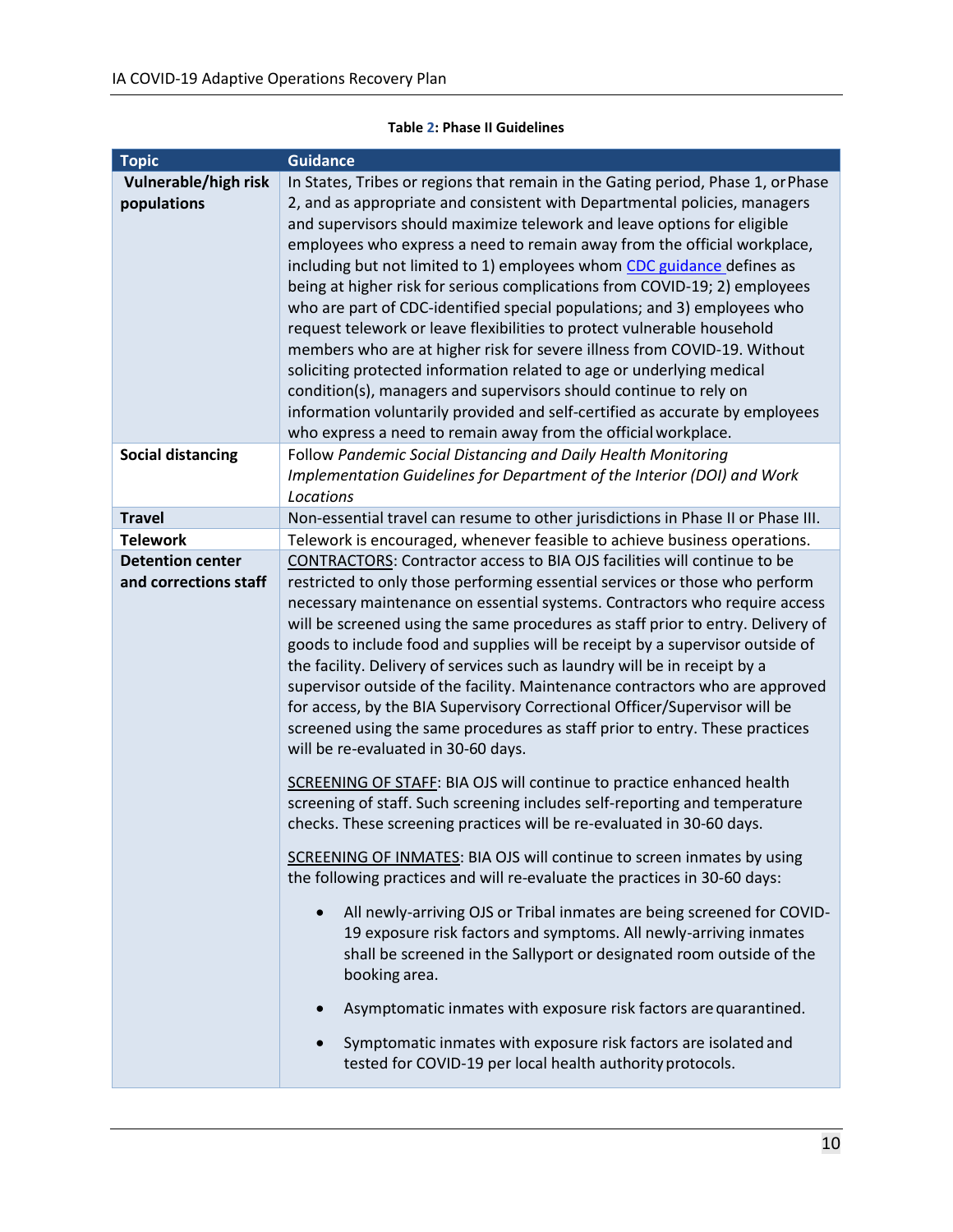#### **Table 2: Phase II Guidelines**

<span id="page-11-0"></span>

| <b>Topic</b>                                     | <b>Guidance</b>                                                                                                                                                                                                                                                                                                                                                                                                                                                                                                                                                                                                                                                                                                                                                                                                                                                                                                                                                                                                 |
|--------------------------------------------------|-----------------------------------------------------------------------------------------------------------------------------------------------------------------------------------------------------------------------------------------------------------------------------------------------------------------------------------------------------------------------------------------------------------------------------------------------------------------------------------------------------------------------------------------------------------------------------------------------------------------------------------------------------------------------------------------------------------------------------------------------------------------------------------------------------------------------------------------------------------------------------------------------------------------------------------------------------------------------------------------------------------------|
| Vulnerable/high risk<br>populations              | In States, Tribes or regions that remain in the Gating period, Phase 1, or Phase<br>2, and as appropriate and consistent with Departmental policies, managers<br>and supervisors should maximize telework and leave options for eligible<br>employees who express a need to remain away from the official workplace,<br>including but not limited to 1) employees whom CDC guidance defines as<br>being at higher risk for serious complications from COVID-19; 2) employees<br>who are part of CDC-identified special populations; and 3) employees who<br>request telework or leave flexibilities to protect vulnerable household<br>members who are at higher risk for severe illness from COVID-19. Without<br>soliciting protected information related to age or underlying medical<br>condition(s), managers and supervisors should continue to rely on<br>information voluntarily provided and self-certified as accurate by employees<br>who express a need to remain away from the official workplace. |
| <b>Social distancing</b>                         | Follow Pandemic Social Distancing and Daily Health Monitoring<br>Implementation Guidelines for Department of the Interior (DOI) and Work<br>Locations                                                                                                                                                                                                                                                                                                                                                                                                                                                                                                                                                                                                                                                                                                                                                                                                                                                           |
| <b>Travel</b>                                    | Non-essential travel can resume to other jurisdictions in Phase II or Phase III.                                                                                                                                                                                                                                                                                                                                                                                                                                                                                                                                                                                                                                                                                                                                                                                                                                                                                                                                |
| <b>Telework</b>                                  | Telework is encouraged, whenever feasible to achieve business operations.                                                                                                                                                                                                                                                                                                                                                                                                                                                                                                                                                                                                                                                                                                                                                                                                                                                                                                                                       |
| <b>Detention center</b><br>and corrections staff | CONTRACTORS: Contractor access to BIA OJS facilities will continue to be<br>restricted to only those performing essential services or those who perform<br>necessary maintenance on essential systems. Contractors who require access<br>will be screened using the same procedures as staff prior to entry. Delivery of<br>goods to include food and supplies will be receipt by a supervisor outside of<br>the facility. Delivery of services such as laundry will be in receipt by a<br>supervisor outside of the facility. Maintenance contractors who are approved<br>for access, by the BIA Supervisory Correctional Officer/Supervisor will be<br>screened using the same procedures as staff prior to entry. These practices<br>will be re-evaluated in 30-60 days.                                                                                                                                                                                                                                     |
|                                                  | SCREENING OF STAFF: BIA OJS will continue to practice enhanced health<br>screening of staff. Such screening includes self-reporting and temperature<br>checks. These screening practices will be re-evaluated in 30-60 days.<br>SCREENING OF INMATES: BIA OJS will continue to screen inmates by using<br>the following practices and will re-evaluate the practices in 30-60 days:                                                                                                                                                                                                                                                                                                                                                                                                                                                                                                                                                                                                                             |
|                                                  | All newly-arriving OJS or Tribal inmates are being screened for COVID-<br>19 exposure risk factors and symptoms. All newly-arriving inmates<br>shall be screened in the Sallyport or designated room outside of the<br>booking area.<br>Asymptomatic inmates with exposure risk factors are quarantined.<br>$\bullet$<br>Symptomatic inmates with exposure risk factors are isolated and<br>tested for COVID-19 per local health authority protocols.                                                                                                                                                                                                                                                                                                                                                                                                                                                                                                                                                           |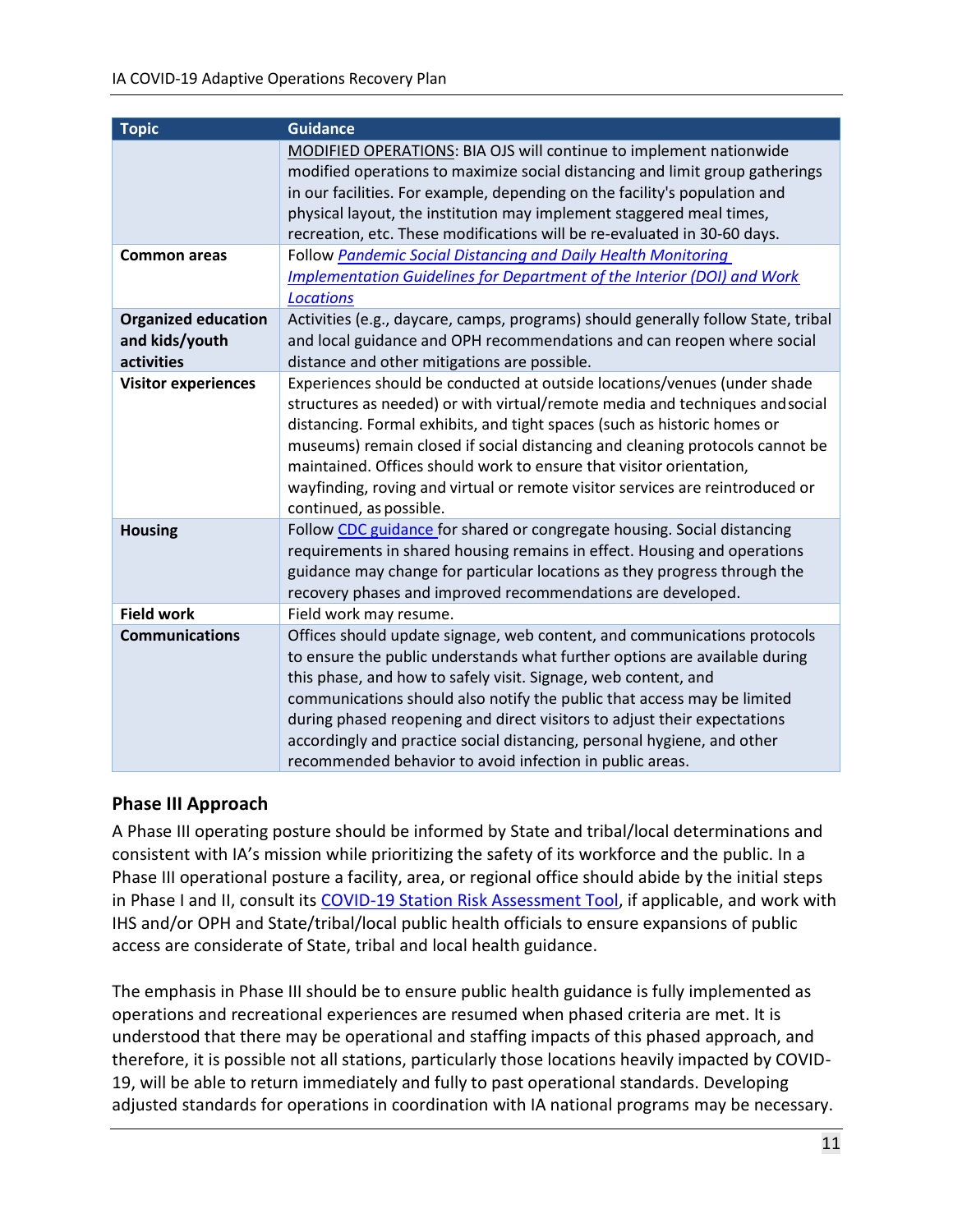| <b>Topic</b>                                               | <b>Guidance</b>                                                                                                                                                                                                                                                                                                                                                                                                                                                                                                        |
|------------------------------------------------------------|------------------------------------------------------------------------------------------------------------------------------------------------------------------------------------------------------------------------------------------------------------------------------------------------------------------------------------------------------------------------------------------------------------------------------------------------------------------------------------------------------------------------|
|                                                            | MODIFIED OPERATIONS: BIA OJS will continue to implement nationwide<br>modified operations to maximize social distancing and limit group gatherings<br>in our facilities. For example, depending on the facility's population and<br>physical layout, the institution may implement staggered meal times,<br>recreation, etc. These modifications will be re-evaluated in 30-60 days.                                                                                                                                   |
| <b>Common areas</b>                                        | Follow Pandemic Social Distancing and Daily Health Monitoring<br>Implementation Guidelines for Department of the Interior (DOI) and Work<br><b>Locations</b>                                                                                                                                                                                                                                                                                                                                                           |
| <b>Organized education</b><br>and kids/youth<br>activities | Activities (e.g., daycare, camps, programs) should generally follow State, tribal<br>and local guidance and OPH recommendations and can reopen where social<br>distance and other mitigations are possible.                                                                                                                                                                                                                                                                                                            |
| <b>Visitor experiences</b>                                 | Experiences should be conducted at outside locations/venues (under shade<br>structures as needed) or with virtual/remote media and techniques and social<br>distancing. Formal exhibits, and tight spaces (such as historic homes or<br>museums) remain closed if social distancing and cleaning protocols cannot be<br>maintained. Offices should work to ensure that visitor orientation,<br>wayfinding, roving and virtual or remote visitor services are reintroduced or<br>continued, as possible.                |
| <b>Housing</b>                                             | Follow CDC guidance for shared or congregate housing. Social distancing<br>requirements in shared housing remains in effect. Housing and operations<br>guidance may change for particular locations as they progress through the<br>recovery phases and improved recommendations are developed.                                                                                                                                                                                                                        |
| <b>Field work</b>                                          | Field work may resume.                                                                                                                                                                                                                                                                                                                                                                                                                                                                                                 |
| <b>Communications</b>                                      | Offices should update signage, web content, and communications protocols<br>to ensure the public understands what further options are available during<br>this phase, and how to safely visit. Signage, web content, and<br>communications should also notify the public that access may be limited<br>during phased reopening and direct visitors to adjust their expectations<br>accordingly and practice social distancing, personal hygiene, and other<br>recommended behavior to avoid infection in public areas. |

#### <span id="page-12-0"></span>**Phase III Approach**

A Phase III operating posture should be informed by State and tribal/local determinations and consistent with IA's mission while prioritizing the safety of its workforce and the public. In a Phase III operational posture a facility, area, or regional office should abide by the initial steps in Phase I and II, consult its [COVID-19 Station Risk Assessment Tool,](https://doimspp.sharepoint.com/sites/doicov/SitePages/DOI-COVID19-Station-Risk-Assessment-Tool.aspx?CT=1589893486089&OR=OWA-NT&CID=df99e370-8807-1121-1a2f-6532d4e73d07) if applicable, and work with IHS and/or OPH and State/tribal/local public health officials to ensure expansions of public access are considerate of State, tribal and local health guidance.

The emphasis in Phase III should be to ensure public health guidance is fully implemented as operations and recreational experiences are resumed when phased criteria are met. It is understood that there may be operational and staffing impacts of this phased approach, and therefore, it is possible not all stations, particularly those locations heavily impacted by COVID-19, will be able to return immediately and fully to past operational standards. Developing adjusted standards for operations in coordination with IA national programs may be necessary.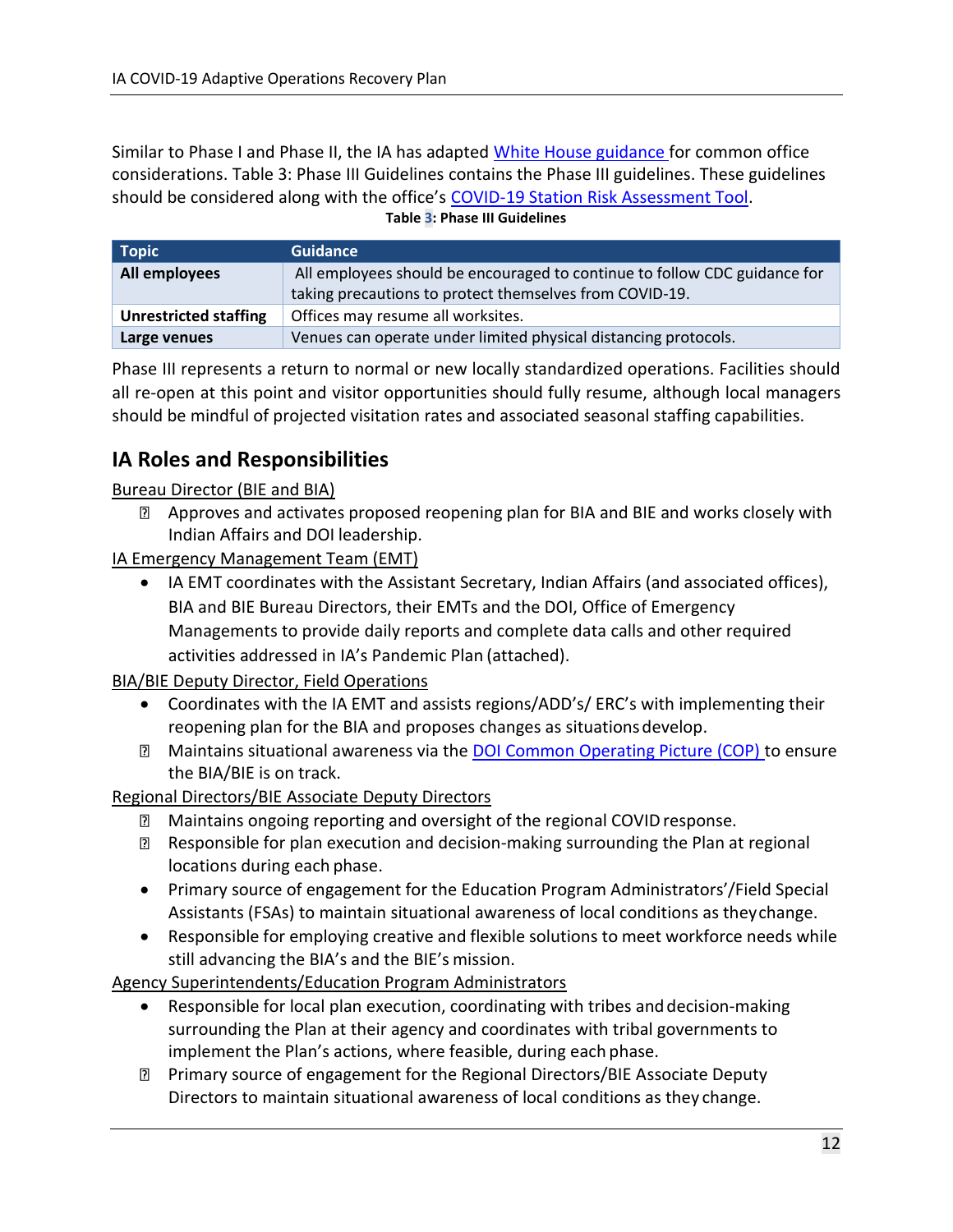Similar to Phase I and Phase II, the IA has adapted [White House guidance f](https://www.whitehouse.gov/openingamerica/)or common office considerations. [Table 3: Phase III Guidelines](#page-13-1) contains the Phase III guidelines. These guidelines should be considered along with the office's [COVID-19 Station Risk Assessment Tool.](https://doimspp.sharepoint.com/sites/doicov/SitePages/DOI-COVID19-Station-Risk-Assessment-Tool.aspx?CT=1589893486089&OR=OWA-NT&CID=df99e370-8807-1121-1a2f-6532d4e73d07) **Table 3: Phase III Guidelines**

<span id="page-13-1"></span>**Topic Guidance All employees** All employees should be encouraged to continue to follow CDC guidance for taking precautions to protect themselves from COVID-19. **Unrestricted staffing** | Offices may resume all worksites. **Large venues Venues** can operate under limited physical distancing protocols.

Phase III represents a return to normal or new locally standardized operations. Facilities should all re-open at this point and visitor opportunities should fully resume, although local managers should be mindful of projected visitation rates and associated seasonal staffing capabilities.

## <span id="page-13-0"></span>**IA Roles and Responsibilities**

Bureau Director (BIE and BIA)

**EXT Approves and activates proposed reopening plan for BIA and BIE and works closely with** Indian Affairs and DOI leadership.

IA Emergency Management Team (EMT)

 IA EMT coordinates with the Assistant Secretary, Indian Affairs (and associated offices), BIA and BIE Bureau Directors, their EMTs and the DOI, Office of Emergency Managements to provide daily reports and complete data calls and other required activities addressed in IA's Pandemic Plan (attached).

BIA/BIE Deputy Director, Field Operations

- Coordinates with the IA EMT and assists regions/ADD's/ ERC's with implementing their reopening plan for the BIA and proposes changes as situationsdevelop.
- **I** Maintains situational awareness via the [DOI Common Operating Picture \(COP\) t](https://doildt.maps.arcgis.com/apps/MapJournal/index.html?appid=5e33d88f1308472ebe90d032df4fd947)o ensure the BIA/BIE is on track.

Regional Directors/BIE Associate Deputy Directors

- **Maintains ongoing reporting and oversight of the regional COVID response.**
- Responsible for plan execution and decision-making surrounding the Plan at regional locations during each phase.
- Primary source of engagement for the Education Program Administrators'/Field Special Assistants (FSAs) to maintain situational awareness of local conditions as theychange.
- Responsible for employing creative and flexible solutions to meet workforce needs while still advancing the BIA's and the BIE's mission.

Agency Superintendents/Education Program Administrators

- Responsible for local plan execution, coordinating with tribes anddecision-making surrounding the Plan at their agency and coordinates with tribal governments to implement the Plan's actions, where feasible, during each phase.
- Primary source of engagement for the Regional Directors/BIE Associate Deputy Directors to maintain situational awareness of local conditions as they change.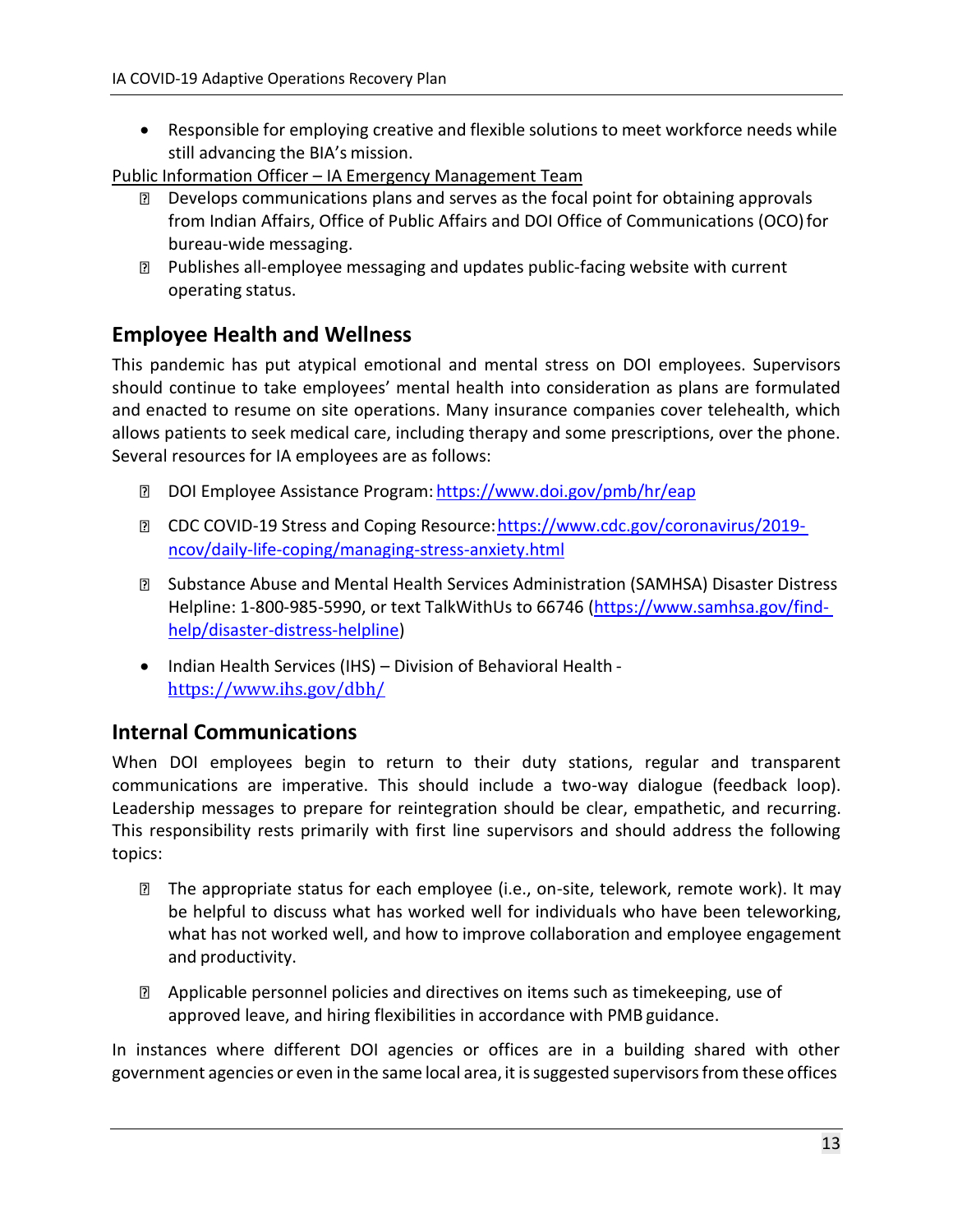Responsible for employing creative and flexible solutions to meet workforce needs while still advancing the BIA's mission.

Public Information Officer – IA Emergency Management Team

- **Develops communications plans and serves as the focal point for obtaining approvals** from Indian Affairs, Office of Public Affairs and DOI Office of Communications (OCO) for bureau-wide messaging.
- Publishes all-employee messaging and updates public-facing website with current operating status.

## <span id="page-14-0"></span>**Employee Health and Wellness**

This pandemic has put atypical emotional and mental stress on DOI employees. Supervisors should continue to take employees' mental health into consideration as plans are formulated and enacted to resume on site operations. Many insurance companies cover telehealth, which allows patients to seek medical care, including therapy and some prescriptions, over the phone. Several resources for IA employees are as follows:

- **DOI Employee Assistance Program: <https://www.doi.gov/pmb/hr/eap>**
- **Z CDC COVID-19 Stress and Coping Resource: https://www.cdc.gov/coronavirus/2019**[ncov/daily-life-coping/managing-stress-anxiety.html](https://www.cdc.gov/coronavirus/2019-ncov/daily-life-coping/managing-stress-anxiety.html)
- Substance Abuse and Mental Health Services Administration (SAMHSA) Disaster Distress Helpline: 1-800-985-5990, or text TalkWithUs to 66746 [\(https://www.samhsa.gov/find](https://www.samhsa.gov/find-help/disaster-distress-helpline)[help/disaster-distress-helpline\)](https://www.samhsa.gov/find-help/disaster-distress-helpline)
- Indian Health Services (IHS) Division of Behavioral Health <https://www.ihs.gov/dbh/>

## <span id="page-14-1"></span>**Internal Communications**

When DOI employees begin to return to their duty stations, regular and transparent communications are imperative. This should include a two-way dialogue (feedback loop). Leadership messages to prepare for reintegration should be clear, empathetic, and recurring. This responsibility rests primarily with first line supervisors and should address the following topics:

- The appropriate status for each employee (i.e., on-site, telework, remote work). It may be helpful to discuss what has worked well for individuals who have been teleworking, what has not worked well, and how to improve collaboration and employee engagement and productivity.
- **E** Applicable personnel policies and directives on items such as timekeeping, use of approved leave, and hiring flexibilities in accordance with PMB guidance.

In instances where different DOI agencies or offices are in a building shared with other government agencies or even in the same local area, it issuggested supervisorsfrom these offices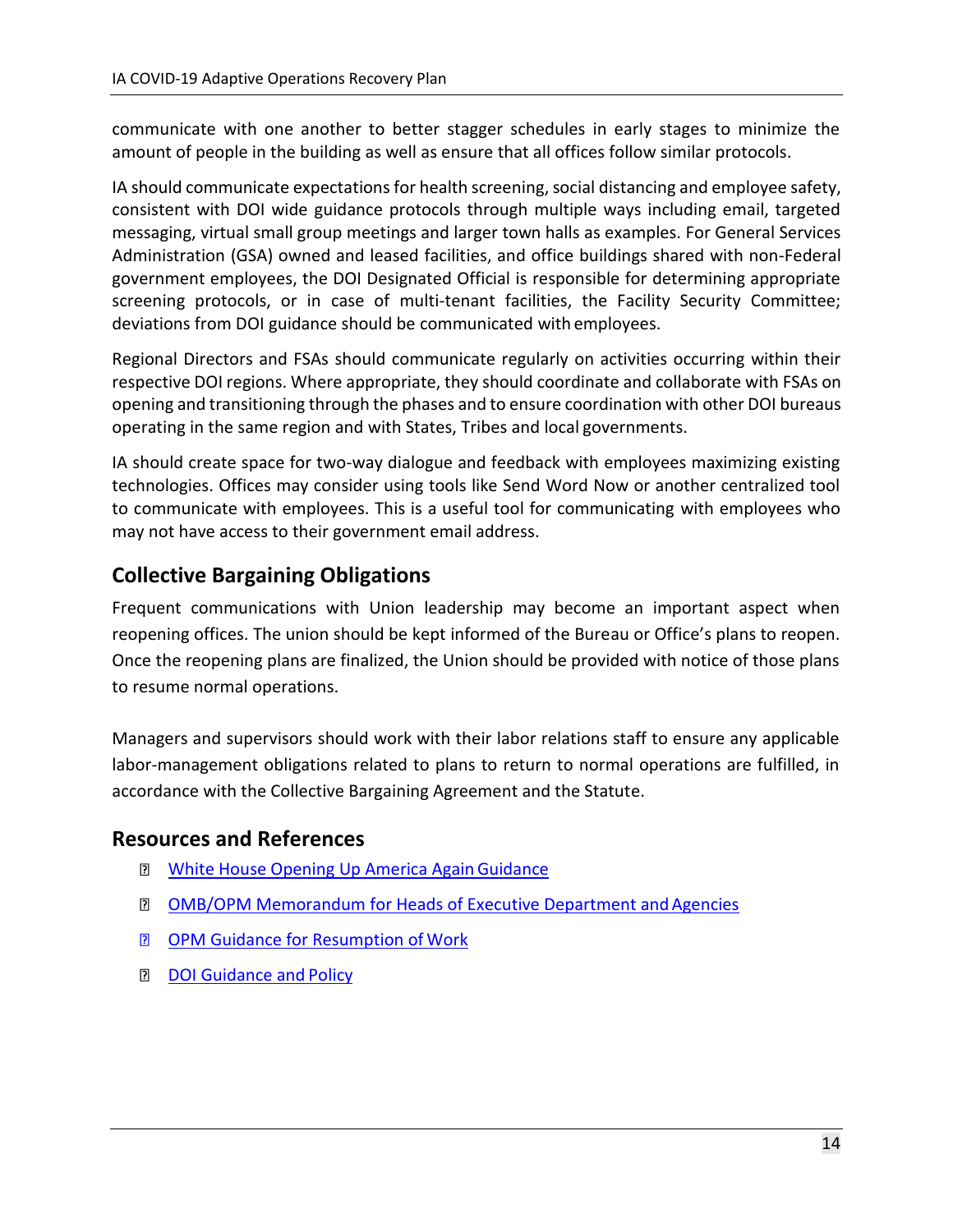<span id="page-15-2"></span>communicate with one another to better stagger schedules in early stages to minimize the amount of people in the building as well as ensure that all offices follow similar protocols.

IA should communicate expectations for health screening, social distancing and employee safety, consistent with DOI wide guidance protocols through multiple ways including email, targeted messaging, virtual small group meetings and larger town halls as examples. For General Services Administration (GSA) owned and leased facilities, and office buildings shared with non-Federal government employees, the DOI Designated Official is responsible for determining appropriate screening protocols, or in case of multi-tenant facilities, the Facility Security Committee; deviations from DOI guidance should be communicated with employees.

Regional Directors and FSAs should communicate regularly on activities occurring within their respective DOI regions. Where appropriate, they should coordinate and collaborate with FSAs on opening and transitioning through the phases and to ensure coordination with other DOI bureaus operating in the same region and with States, Tribes and local governments.

IA should create space for two-way dialogue and feedback with employees maximizing existing technologies. Offices may consider using tools like Send Word Now or another centralized tool to communicate with employees. This is a useful tool for communicating with employees who may not have access to their government email address.

## <span id="page-15-0"></span>**Collective Bargaining Obligations**

Frequent communications with Union leadership may become an important aspect when reopening offices. The union should be kept informed of the Bureau or Office's plans to reopen. Once the reopening plans are finalized, the Union should be provided with notice of those plans to resume normal operations.

Managers and supervisors should work with their labor relations staff to ensure any applicable labor-management obligations related to plans to return to normal operations are fulfilled, in accordance with the Collective Bargaining Agreement and the Statute.

## <span id="page-15-1"></span>**Resources and References**

- **Notable House Opening Up America Again Guidance**
- **D** OMB/OPM Memorandum for Heads of Executive Department and Agencies
- **D** [OPM Guidance for Resumption of](https://doimspp.sharepoint.com/sites/doicov/SitePages/OPM-FAQs-Regarding-the-Resumption-of-Normal-Workforce-Operations.aspx) Work
- **[DOI Guidance and](https://doimspp.sharepoint.com/sites/doicov) Policy**